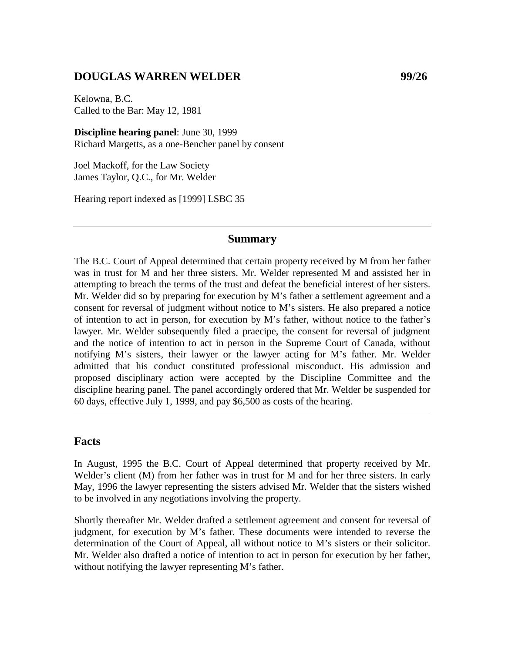### **DOUGLAS WARREN WELDER 99/26**

Kelowna, B.C. Called to the Bar: May 12, 1981

**Discipline hearing panel**: June 30, 1999 Richard Margetts, as a one-Bencher panel by consent

Joel Mackoff, for the Law Society James Taylor, Q.C., for Mr. Welder

Hearing report indexed as [1999] LSBC 35

#### **Summary**

The B.C. Court of Appeal determined that certain property received by M from her father was in trust for M and her three sisters. Mr. Welder represented M and assisted her in attempting to breach the terms of the trust and defeat the beneficial interest of her sisters. Mr. Welder did so by preparing for execution by M's father a settlement agreement and a consent for reversal of judgment without notice to M's sisters. He also prepared a notice of intention to act in person, for execution by  $M$ 's father, without notice to the father's lawyer. Mr. Welder subsequently filed a praecipe, the consent for reversal of judgment and the notice of intention to act in person in the Supreme Court of Canada, without notifying M's sisters, their lawyer or the lawyer acting for M's father. Mr. Welder admitted that his conduct constituted professional misconduct. His admission and proposed disciplinary action were accepted by the Discipline Committee and the discipline hearing panel. The panel accordingly ordered that Mr. Welder be suspended for 60 days, effective July 1, 1999, and pay \$6,500 as costs of the hearing.

#### **Facts**

In August, 1995 the B.C. Court of Appeal determined that property received by Mr. Welder's client (M) from her father was in trust for M and for her three sisters. In early May, 1996 the lawyer representing the sisters advised Mr. Welder that the sisters wished to be involved in any negotiations involving the property.

Shortly thereafter Mr. Welder drafted a settlement agreement and consent for reversal of judgment, for execution by M's father. These documents were intended to reverse the determination of the Court of Appeal, all without notice to M's sisters or their solicitor. Mr. Welder also drafted a notice of intention to act in person for execution by her father, without notifying the lawyer representing M's father.